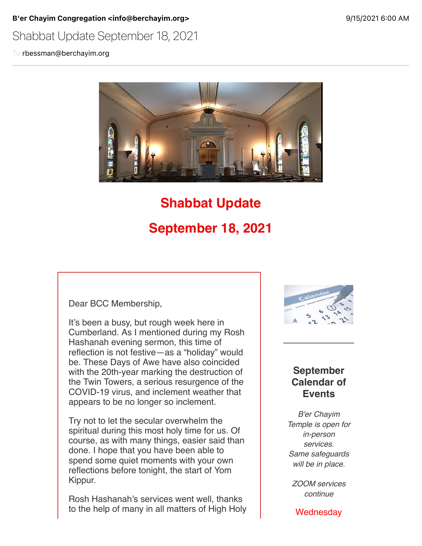B'er Chayim Congregation <info@berchayim.org> 9/15/2021 6:00 AM

## Shabbat Update September 18, 2021

To rbessman@berchayim.org



# **Shabbat Update September 18, 2021**

Dear BCC Membership,

It's been a busy, but rough week here in Cumberland. As I mentioned during my Rosh Hashanah evening sermon, this time of reflection is not festive—as a "holiday" would be. These Days of Awe have also coincided with the 20th-year marking the destruction of the Twin Towers, a serious resurgence of the COVID-19 virus, and inclement weather that appears to be no longer so inclement.

Try not to let the secular overwhelm the spiritual during this most holy time for us. Of course, as with many things, easier said than done. I hope that you have been able to spend some quiet moments with your own reflections before tonight, the start of Yom Kippur.

Rosh Hashanah's services went well, thanks to the help of many in all matters of High Holy



### **September Calendar of Events**

*B'er Chayim Temple is open for in-person services. Same safeguards will be in place.*

*ZOOM services continue*

**Wednesday**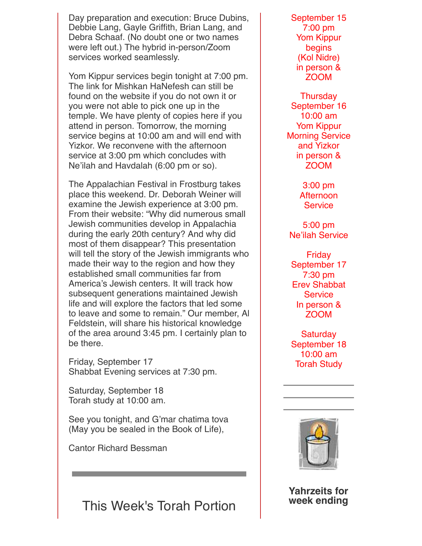Day preparation and execution: Bruce Dubins, Debbie Lang, Gayle Griffith, Brian Lang, and Debra Schaaf. (No doubt one or two names were left out.) The hybrid in-person/Zoom services worked seamlessly.

Yom Kippur services begin tonight at 7:00 pm. The link for Mishkan HaNefesh can still be found on the website if you do not own it or you were not able to pick one up in the temple. We have plenty of copies here if you attend in person. Tomorrow, the morning service begins at 10:00 am and will end with Yizkor. We reconvene with the afternoon service at 3:00 pm which concludes with Ne'ilah and Havdalah (6:00 pm or so).

The Appalachian Festival in Frostburg takes place this weekend. Dr. Deborah Weiner will examine the Jewish experience at 3:00 pm. From their website: "Why did numerous small Jewish communities develop in Appalachia during the early 20th century? And why did most of them disappear? This presentation will tell the story of the Jewish immigrants who made their way to the region and how they established small communities far from America's Jewish centers. It will track how subsequent generations maintained Jewish life and will explore the factors that led some to leave and some to remain." Our member, Al Feldstein, will share his historical knowledge of the area around 3:45 pm. I certainly plan to be there.

Friday, September 17 Shabbat Evening services at 7:30 pm.

Saturday, September 18 Torah study at 10:00 am.

See you tonight, and G'mar chatima tova (May you be sealed in the Book of Life),

Cantor Richard Bessman

This Week's Torah Portion

September 15 7:00 pm Yom Kippur begins (Kol Nidre) in person & ZOOM

**Thursday** September 16 10:00 am Yom Kippur Morning Service and Yizkor in person & ZOOM

> 3:00 pm Afternoon **Service**

5:00 pm Ne'ilah Service

Friday September 17 7:30 pm Erev Shabbat **Service** In person & ZOOM

Saturday September 18 10:00 am Torah Study



**Yahrzeits for week ending**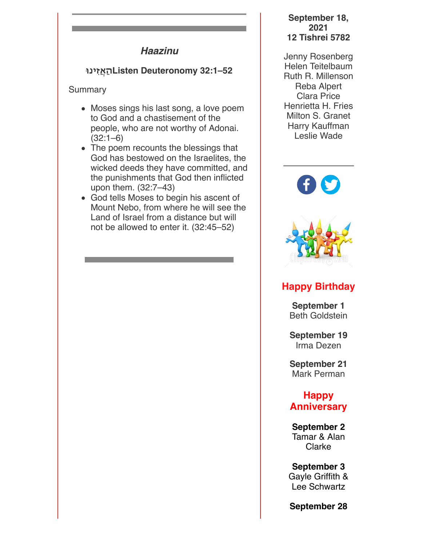### *Haazinu*

## **52–32:1 Deuteronomy Listenהַאֲזִינ!**

Summary

- Moses sings his last song, a love poem to God and a chastisement of the people, who are not worthy of Adonai.  $(32:1-6)$
- The poem recounts the blessings that God has bestowed on the Israelites, the wicked deeds they have committed, and the punishments that God then inflicted upon them. (32:7–43)
- God tells Moses to begin his ascent of Mount Nebo, from where he will see the Land of Israel from a distance but will not be allowed to enter it. (32:45–52)

#### **September 18, 2021 12 Tishrei 5782**

Jenny Rosenberg Helen Teitelbaum Ruth R. Millenson Reba Alpert Clara Price Henrietta H. Fries Milton S. Granet Harry Kauffman Leslie Wade





## **Happy Birthday**

**September 1** Beth Goldstein

**September 19** Irma Dezen

**September 21** Mark Perman

**Happy Anniversary**

**September 2** Tamar & Alan Clarke

**September 3** Gayle Griffith & Lee Schwartz

**September 28**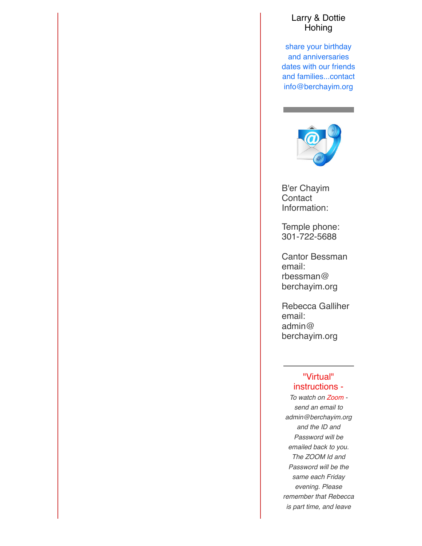#### Larry & Dottie Hohing

share your birthday and anniversaries dates with our friends and families...contact info@berchayim.org



B'er Chayim **Contact** Information:

Temple phone: 301-722-5688

Cantor Bessman email: rbessman@ berchayim.org

Rebecca Galliher email: admin@ berchayim.org

#### "Virtual" instructions -

*To watch on Zoom send an email to admin@berchayim.org and the ID and Password will be emailed back to you. The ZOOM Id and Password will be the same each Friday evening. Please remember that Rebecca is part time, and leave*